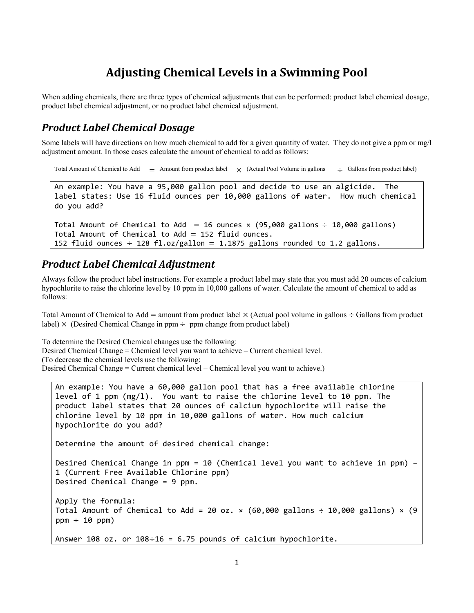# **Adjusting Chemical Levels in a Swimming Pool**

When adding chemicals, there are three types of chemical adjustments that can be performed: product label chemical dosage, product label chemical adjustment, or no product label chemical adjustment.

#### *Product Label Chemical Dosage*

Some labels will have directions on how much chemical to add for a given quantity of water. They do not give a ppm or mg/l adjustment amount. In those cases calculate the amount of chemical to add as follows:

```
Total Amount of Chemical to Add \equiv Amount from product label \times (Actual Pool Volume in gallons \div Gallons from product label)
Total Amount of Chemical to Add = 16 ounces \times (95,000 gallons \div 10,000 gallons)
An example: You have a 95,000 gallon pool and decide to use an algicide.  The
label states: Use 16 fluid ounces per 10,000 gallons of water.  How much chemical
do you add?
Total Amount of Chemical to Add = 152 fluid ounces.
152 fluid ounces \div 128 fl.oz/gallon = 1.1875 gallons rounded to 1.2 gallons.
```
#### *Product Label Chemical Adjustment*

Always follow the product label instructions. For example a product label may state that you must add 20 ounces of calcium hypochlorite to raise the chlorine level by 10 ppm in 10,000 gallons of water. Calculate the amount of chemical to add as follows:

Total Amount of Chemical to Add = amount from product label  $\times$  (Actual pool volume in gallons  $\div$  Gallons from product label)  $\times$  (Desired Chemical Change in ppm  $\div$  ppm change from product label)

To determine the Desired Chemical changes use the following: Desired Chemical Change = Chemical level you want to achieve – Current chemical level. (To decrease the chemical levels use the following: Desired Chemical Change = Current chemical level – Chemical level you want to achieve.)

```
An example: You have a 60,000 gallon pool that has a free available chlorine
level of 1 ppm (mg/l).  You want to raise the chlorine level to 10 ppm. The
product label states that 20 ounces of calcium hypochlorite will raise the
chlorine level by 10 ppm in 10,000 gallons of water. How much calcium
hypochlorite do you add?
Determine the amount of desired chemical change:
Desired Chemical Change in ppm = 10 (Chemical level you want to achieve in ppm) –
1 (Current Free Available Chlorine ppm)
Desired Chemical Change = 9 ppm.  
Apply the formula:
Total Amount of Chemical to Add = 20 oz. \times (60,000 gallons ÷ 10,000 gallons) \times (9
ppm \div 10 ppm)Answer 108 oz. or 108 \div 16 = 6.75 pounds of calcium hypochlorite.
```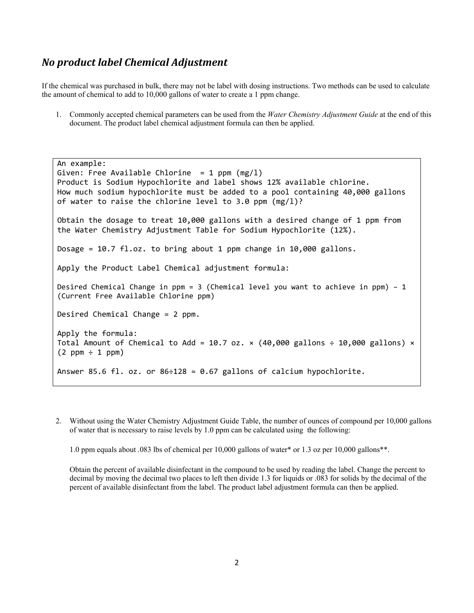### *No product label Chemical Adjustment*

If the chemical was purchased in bulk, there may not be label with dosing instructions. Two methods can be used to calculate the amount of chemical to add to 10,000 gallons of water to create a 1 ppm change.

1. Commonly accepted chemical parameters can be used from the *Water Chemistry Adjustment Guide* at the end of this document. The product label chemical adjustment formula can then be applied.

```
An example:
Given: Free Available Chlorine = 1 ppm (mg/1)Product is Sodium Hypochlorite and label shows 12% available chlorine.
How much sodium hypochlorite must be added to a pool containing 40,000 gallons
of water to raise the chlorine level to 3.0 ppm (mg/l)?
Obtain the dosage to treat 10,000 gallons with a desired change of 1 ppm from
the Water Chemistry Adjustment Table for Sodium Hypochlorite (12%).
Dosage = 10.7 \text{ fl.oz}. to bring about 1 ppm change in 10,000 gallons.
Apply the Product Label Chemical adjustment formula:
Desired Chemical Change in ppm = 3 (Chemical level you want to achieve in ppm) – 1
(Current Free Available Chlorine ppm)
Desired Chemical Change = 2 ppm.  
Apply the formula:
Total Amount of Chemical to Add = 10.7 oz. \times (40,000 gallons ÷ 10,000 gallons) \times(2 ppm \div 1 ppm)Answer 85.6 fl. oz. or 86 \div 128 = 0.67 gallons of calcium hypochlorite.
```
2. Without using the Water Chemistry Adjustment Guide Table, the number of ounces of compound per 10,000 gallons of water that is necessary to raise levels by 1.0 ppm can be calculated using the following:

1.0 ppm equals about .083 lbs of chemical per 10,000 gallons of water\* or 1.3 oz per 10,000 gallons\*\*.

Obtain the percent of available disinfectant in the compound to be used by reading the label. Change the percent to decimal by moving the decimal two places to left then divide 1.3 for liquids or .083 for solids by the decimal of the percent of available disinfectant from the label. The product label adjustment formula can then be applied.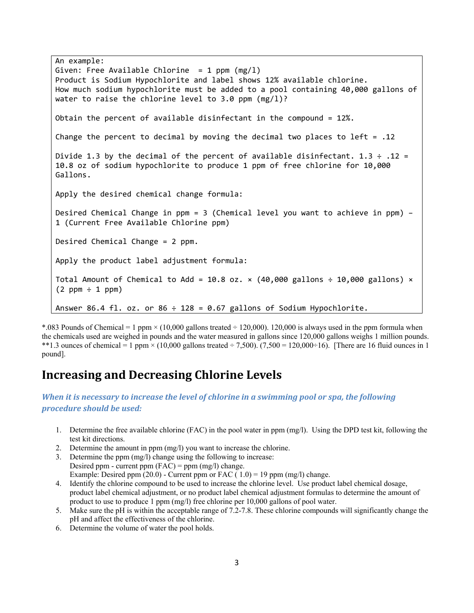```
An example:
Given: Free Available Chlorine = 1 ppm (mg/1)Product is Sodium Hypochlorite and label shows 12% available chlorine.
How much sodium hypochlorite must be added to a pool containing 40,000 gallons of
water to raise the chlorine level to 3.0 ppm (mg/1)?
Obtain the percent of available disinfectant in the compound = 12\%.
Change the percent to decimal by moving the decimal two places to left = .12Divide 1.3 by the decimal of the percent of available disinfectant. 1.3 \div .12 =10.8 oz of sodium hypochlorite to produce 1 ppm of free chlorine for 10,000
Gallons.
Apply the desired chemical change formula:
Desired Chemical Change in ppm = 3 (Chemical level you want to achieve in ppm) –
1 (Current Free Available Chlorine ppm)
Desired Chemical Change = 2 ppm.  
Apply the product label adjustment formula:
Total Amount of Chemical to Add = 10.8 oz. \times (40,000 gallons \div 10,000 gallons) \times(2 ppm \div 1 ppm)Answer 86.4 fl. oz. or 86 \div 128 = 0.67 gallons of Sodium Hypochlorite.
```
\*.083 Pounds of Chemical = 1 ppm  $\times$  (10,000 gallons treated  $\div$  120,000). 120,000 is always used in the ppm formula when the chemicals used are weighed in pounds and the water measured in gallons since 120,000 gallons weighs 1 million pounds. \*\*1.3 ounces of chemical = 1 ppm  $\times$  (10,000 gallons treated ÷ 7,500). (7,500 = 120,000÷16). [There are 16 fluid ounces in 1 pound].

### **Increasing and Decreasing Chlorine Levels**

*When it is necessary to increase the level of chlorine in a swimming pool or spa, the following procedure should be used:*

- 1. Determine the free available chlorine (FAC) in the pool water in ppm (mg/l). Using the DPD test kit, following the test kit directions.
- 2. Determine the amount in ppm (mg/l) you want to increase the chlorine.
- 3. Determine the ppm (mg/l) change using the following to increase: Desired ppm - current ppm  $(FAC) = ppm (mg/l)$  change. Example: Desired ppm  $(20.0)$  - Current ppm or FAC  $(1.0)$  = 19 ppm (mg/l) change.
- 4. Identify the chlorine compound to be used to increase the chlorine level. Use product label chemical dosage, product label chemical adjustment, or no product label chemical adjustment formulas to determine the amount of product to use to produce 1 ppm (mg/l) free chlorine per 10,000 gallons of pool water.
- 5. Make sure the pH is within the acceptable range of 7.2-7.8. These chlorine compounds will significantly change the pH and affect the effectiveness of the chlorine.
- 6. Determine the volume of water the pool holds.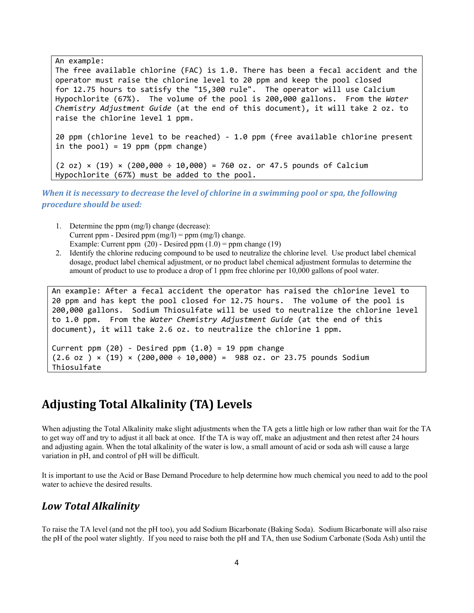An example: The free available chlorine (FAC) is 1.0. There has been a fecal accident and the operator must raise the chlorine level to 20 ppm and keep the pool closed for 12.75 hours to satisfy the "15,300 rule". The operator will use Calcium Hypochlorite (67%). The volume of the pool is 200,000 gallons. From the *Water Chemistry Adjustment Guide* (at the end of this document), it will take 2 oz. to raise the chlorine level 1 ppm. 20 ppm (chlorine level to be reached) ‐ 1.0 ppm (free available chlorine present in the  $pool$ ) = 19 ppm ( $ppm$  change)  $(2 oz) \times (19) \times (200,000 \div 10,000) = 760 oz.$  or 47.5 pounds of Calcium Hypochlorite (67%) must be added to the pool.

*When it is necessary to decrease the level of chlorine in a swimming pool or spa, the following procedure should be used:*

- 1. Determine the ppm (mg/l) change (decrease): Current ppm - Desired ppm  $(mg/l)$  = ppm  $(mg/l)$  change. Example: Current ppm  $(20)$  - Desired ppm  $(1.0)$  = ppm change  $(19)$
- 2. Identify the chlorine reducing compound to be used to neutralize the chlorine level. Use product label chemical dosage, product label chemical adjustment, or no product label chemical adjustment formulas to determine the amount of product to use to produce a drop of 1 ppm free chlorine per 10,000 gallons of pool water.

```
An example: After a fecal accident the operator has raised the chlorine level to
20 ppm and has kept the pool closed for 12.75 hours.  The volume of the pool is
200,000 gallons.  Sodium Thiosulfate will be used to neutralize the chlorine level
to 1.0 ppm.  From the Water Chemistry Adjustment Guide (at the end of this
document), it will take 2.6 oz. to neutralize the chlorine 1 ppm.
Current ppm (20) - Desired ppm (1.0) = 19 ppm change
```
 $(2.6 \text{ oz}) \times (19) \times (200,000 \div 10,000) = 988 \text{ oz. or } 23.75 \text{ pounds Sodium}$ Thiosulfate

# **Adjusting Total Alkalinity (TA) Levels**

When adjusting the Total Alkalinity make slight adjustments when the TA gets a little high or low rather than wait for the TA to get way off and try to adjust it all back at once. If the TA is way off, make an adjustment and then retest after 24 hours and adjusting again. When the total alkalinity of the water is low, a small amount of acid or soda ash will cause a large variation in pH, and control of pH will be difficult.

It is important to use the Acid or Base Demand Procedure to help determine how much chemical you need to add to the pool water to achieve the desired results.

### *Low Total Alkalinity*

To raise the TA level (and not the pH too), you add Sodium Bicarbonate (Baking Soda). Sodium Bicarbonate will also raise the pH of the pool water slightly. If you need to raise both the pH and TA, then use Sodium Carbonate (Soda Ash) until the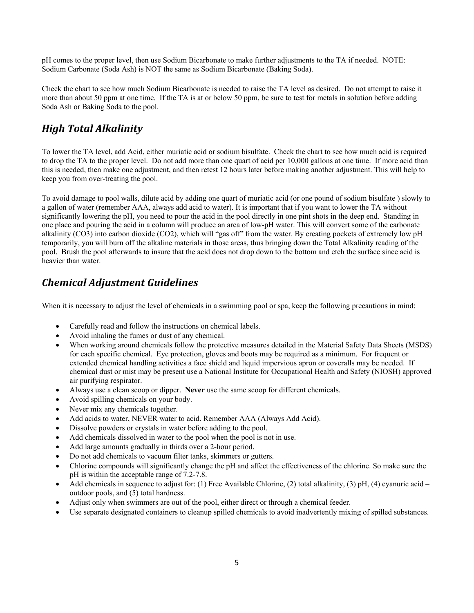pH comes to the proper level, then use Sodium Bicarbonate to make further adjustments to the TA if needed. NOTE: Sodium Carbonate (Soda Ash) is NOT the same as Sodium Bicarbonate (Baking Soda).

Check the chart to see how much Sodium Bicarbonate is needed to raise the TA level as desired. Do not attempt to raise it more than about 50 ppm at one time. If the TA is at or below 50 ppm, be sure to test for metals in solution before adding Soda Ash or Baking Soda to the pool.

## *High Total Alkalinity*

To lower the TA level, add Acid, either muriatic acid or sodium bisulfate. Check the chart to see how much acid is required to drop the TA to the proper level. Do not add more than one quart of acid per 10,000 gallons at one time. If more acid than this is needed, then make one adjustment, and then retest 12 hours later before making another adjustment. This will help to keep you from over-treating the pool.

To avoid damage to pool walls, dilute acid by adding one quart of muriatic acid (or one pound of sodium bisulfate ) slowly to a gallon of water (remember AAA, always add acid to water). It is important that if you want to lower the TA without significantly lowering the pH, you need to pour the acid in the pool directly in one pint shots in the deep end. Standing in one place and pouring the acid in a column will produce an area of low-pH water. This will convert some of the carbonate alkalinity (CO3) into carbon dioxide (CO2), which will "gas off" from the water. By creating pockets of extremely low pH temporarily, you will burn off the alkaline materials in those areas, thus bringing down the Total Alkalinity reading of the pool. Brush the pool afterwards to insure that the acid does not drop down to the bottom and etch the surface since acid is heavier than water.

### *Chemical Adjustment Guidelines*

When it is necessary to adjust the level of chemicals in a swimming pool or spa, keep the following precautions in mind:

- Carefully read and follow the instructions on chemical labels.
- Avoid inhaling the fumes or dust of any chemical.
- When working around chemicals follow the protective measures detailed in the Material Safety Data Sheets (MSDS) for each specific chemical. Eye protection, gloves and boots may be required as a minimum. For frequent or extended chemical handling activities a face shield and liquid impervious apron or coveralls may be needed. If chemical dust or mist may be present use a National Institute for Occupational Health and Safety (NIOSH) approved air purifying respirator.
- Always use a clean scoop or dipper. **Never** use the same scoop for different chemicals.
- Avoid spilling chemicals on your body.
- Never mix any chemicals together.
- Add acids to water, NEVER water to acid. Remember AAA (Always Add Acid).
- Dissolve powders or crystals in water before adding to the pool.
- Add chemicals dissolved in water to the pool when the pool is not in use.
- Add large amounts gradually in thirds over a 2-hour period.
- Do not add chemicals to vacuum filter tanks, skimmers or gutters.
- Chlorine compounds will significantly change the pH and affect the effectiveness of the chlorine. So make sure the pH is within the acceptable range of 7.2-7.8.
- Add chemicals in sequence to adjust for: (1) Free Available Chlorine, (2) total alkalinity, (3) pH, (4) cyanuric acid outdoor pools, and (5) total hardness.
- Adjust only when swimmers are out of the pool, either direct or through a chemical feeder.
- Use separate designated containers to cleanup spilled chemicals to avoid inadvertently mixing of spilled substances.